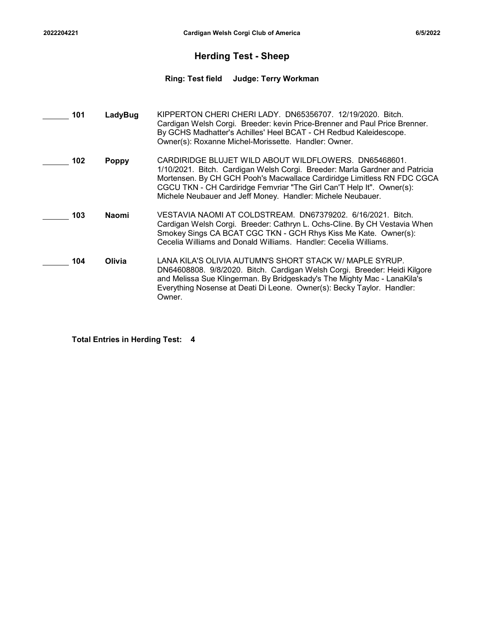### Herding Test - Sheep

<sup>2022204221</sup> Cardigan Welsh Corgi Club of America 6/5/2022 Ring: Test field Judge: Terry Workman

| 101 | LadyBug      | KIPPERTON CHERI CHERI LADY. DN65356707. 12/19/2020. Bitch.<br>Cardigan Welsh Corgi. Breeder: kevin Price-Brenner and Paul Price Brenner.<br>By GCHS Madhatter's Achilles' Heel BCAT - CH Redbud Kaleidescope.<br>Owner(s): Roxanne Michel-Morissette. Handler: Owner.                                                                                   |
|-----|--------------|---------------------------------------------------------------------------------------------------------------------------------------------------------------------------------------------------------------------------------------------------------------------------------------------------------------------------------------------------------|
| 102 | <b>Poppy</b> | CARDIRIDGE BLUJET WILD ABOUT WILDFLOWERS. DN65468601.<br>1/10/2021. Bitch. Cardigan Welsh Corgi. Breeder: Marla Gardner and Patricia<br>Mortensen. By CH GCH Pooh's Macwallace Cardiridge Limitless RN FDC CGCA<br>CGCU TKN - CH Cardiridge Femvriar "The Girl Can'T Help It". Owner(s):<br>Michele Neubauer and Jeff Money. Handler: Michele Neubauer. |
| 103 | Naomi        | VESTAVIA NAOMI AT COLDSTREAM.  DN67379202.  6/16/2021.  Bitch.<br>Cardigan Welsh Corgi. Breeder: Cathryn L. Ochs-Cline. By CH Vestavia When<br>Smokey Sings CA BCAT CGC TKN - GCH Rhys Kiss Me Kate. Owner(s):<br>Cecelia Williams and Donald Williams. Handler: Cecelia Williams.                                                                      |
| 104 | Olivia       | LANA KILA'S OLIVIA AUTUMN'S SHORT STACK W/ MAPLE SYRUP.<br>DN64608808. 9/8/2020. Bitch. Cardigan Welsh Corgi. Breeder: Heidi Kilgore<br>and Melissa Sue Klingerman. By Bridgeskady's The Mighty Mac - LanaKila's<br>Everything Nosense at Deati Di Leone. Owner(s): Becky Taylor. Handler:<br>Owner.                                                    |

Total Entries in Herding Test: 4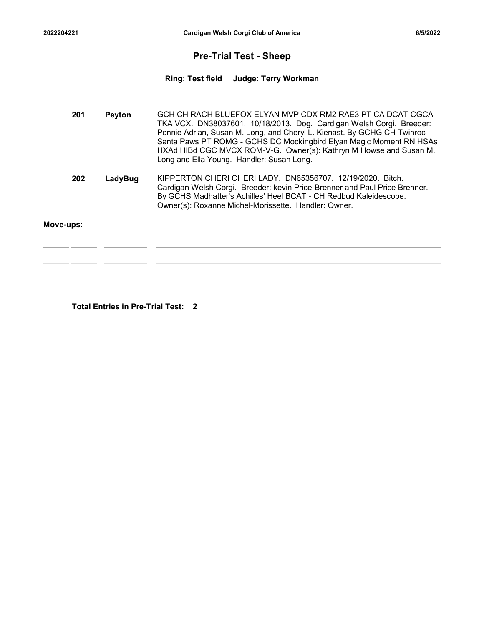### Pre-Trial Test - Sheep

# <sup>2022204221</sup> Cardigan Welsh Corgi Club of America 6/5/2022 Ring: Test field Judge: Terry Workman

| 201       | <b>Peyton</b> | GCH CH RACH BLUEFOX ELYAN MVP CDX RM2 RAE3 PT CA DCAT CGCA<br>TKA VCX. DN38037601. 10/18/2013. Dog. Cardigan Welsh Corgi. Breeder:<br>Pennie Adrian, Susan M. Long, and Cheryl L. Kienast. By GCHG CH Twinroc<br>Santa Paws PT ROMG - GCHS DC Mockingbird Elyan Magic Moment RN HSAs<br>HXAd HIBd CGC MVCX ROM-V-G. Owner(s): Kathryn M Howse and Susan M.<br>Long and Ella Young. Handler: Susan Long. |
|-----------|---------------|---------------------------------------------------------------------------------------------------------------------------------------------------------------------------------------------------------------------------------------------------------------------------------------------------------------------------------------------------------------------------------------------------------|
| 202       | LadyBug       | KIPPERTON CHERI CHERI LADY. DN65356707. 12/19/2020. Bitch.<br>Cardigan Welsh Corgi. Breeder: kevin Price-Brenner and Paul Price Brenner.<br>By GCHS Madhatter's Achilles' Heel BCAT - CH Redbud Kaleidescope.<br>Owner(s): Roxanne Michel-Morissette. Handler: Owner.                                                                                                                                   |
| Move-ups: |               |                                                                                                                                                                                                                                                                                                                                                                                                         |
|           |               |                                                                                                                                                                                                                                                                                                                                                                                                         |

Total Entries in Pre-Trial Test: 2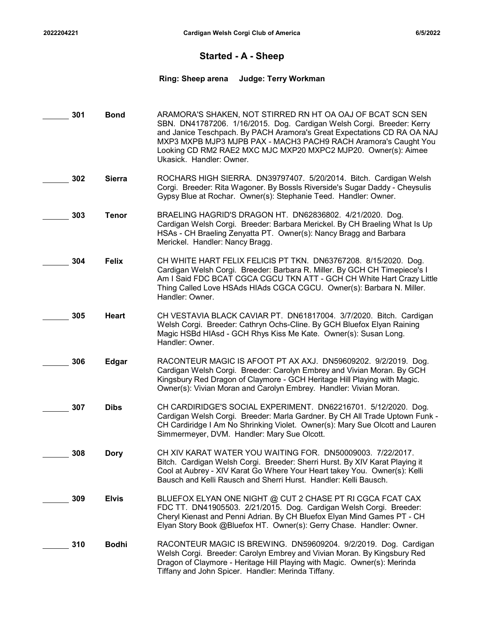### Started - A - Sheep

# Cardigan Welsh Corgi Club of America 6/5/2022<br>
Started - A - Sheep<br>
Ring: Sheep arena Judge: Terry Workman Ring: Sheep arena Judge: Terry Workman

| 301 | <b>Bond</b>   | ARAMORA'S SHAKEN, NOT STIRRED RN HT OA OAJ OF BCAT SCN SEN<br>SBN. DN41787206. 1/16/2015. Dog. Cardigan Welsh Corgi. Breeder: Kerry<br>and Janice Teschpach. By PACH Aramora's Great Expectations CD RA OA NAJ<br>MXP3 MXPB MJP3 MJPB PAX - MACH3 PACH9 RACH Aramora's Caught You<br>Looking CD RM2 RAE2 MXC MJC MXP20 MXPC2 MJP20. Owner(s): Aimee<br>Ukasick. Handler: Owner. |
|-----|---------------|---------------------------------------------------------------------------------------------------------------------------------------------------------------------------------------------------------------------------------------------------------------------------------------------------------------------------------------------------------------------------------|
| 302 | <b>Sierra</b> | ROCHARS HIGH SIERRA. DN39797407. 5/20/2014. Bitch. Cardigan Welsh<br>Corgi. Breeder: Rita Wagoner. By Bossls Riverside's Sugar Daddy - Cheysulis<br>Gypsy Blue at Rochar. Owner(s): Stephanie Teed. Handler: Owner.                                                                                                                                                             |
| 303 | <b>Tenor</b>  | BRAELING HAGRID'S DRAGON HT. DN62836802. 4/21/2020. Dog.<br>Cardigan Welsh Corgi. Breeder: Barbara Merickel. By CH Braeling What Is Up<br>HSAs - CH Braeling Zenyatta PT. Owner(s): Nancy Bragg and Barbara<br>Merickel. Handler: Nancy Bragg.                                                                                                                                  |
| 304 | <b>Felix</b>  | CH WHITE HART FELIX FELICIS PT TKN. DN63767208. 8/15/2020. Dog.<br>Cardigan Welsh Corgi. Breeder: Barbara R. Miller. By GCH CH Timepiece's I<br>Am I Said FDC BCAT CGCA CGCU TKN ATT - GCH CH White Hart Crazy Little<br>Thing Called Love HSAds HIAds CGCA CGCU. Owner(s): Barbara N. Miller.<br>Handler: Owner.                                                               |
| 305 | <b>Heart</b>  | CH VESTAVIA BLACK CAVIAR PT. DN61817004. 3/7/2020. Bitch. Cardigan<br>Welsh Corgi. Breeder: Cathryn Ochs-Cline. By GCH Bluefox Elyan Raining<br>Magic HSBd HIAsd - GCH Rhys Kiss Me Kate. Owner(s): Susan Long.<br>Handler: Owner.                                                                                                                                              |
| 306 | Edgar         | RACONTEUR MAGIC IS AFOOT PT AX AXJ. DN59609202. 9/2/2019. Dog.<br>Cardigan Welsh Corgi. Breeder: Carolyn Embrey and Vivian Moran. By GCH<br>Kingsbury Red Dragon of Claymore - GCH Heritage Hill Playing with Magic.<br>Owner(s): Vivian Moran and Carolyn Embrey. Handler: Vivian Moran.                                                                                       |
| 307 | <b>Dibs</b>   | CH CARDIRIDGE'S SOCIAL EXPERIMENT. DN62216701. 5/12/2020. Dog.<br>Cardigan Welsh Corgi. Breeder: Marla Gardner. By CH All Trade Uptown Funk -<br>CH Cardiridge I Am No Shrinking Violet. Owner(s): Mary Sue Olcott and Lauren<br>Simmermeyer, DVM. Handler: Mary Sue Olcott.                                                                                                    |
| 308 | <b>Dory</b>   | CH XIV KARAT WATER YOU WAITING FOR. DN50009003. 7/22/2017.<br>Bitch. Cardigan Welsh Corgi. Breeder: Sherri Hurst. By XIV Karat Playing it<br>Cool at Aubrey - XIV Karat Go Where Your Heart takey You. Owner(s): Kelli<br>Bausch and Kelli Rausch and Sherri Hurst. Handler: Kelli Bausch.                                                                                      |
| 309 | <b>Elvis</b>  | BLUEFOX ELYAN ONE NIGHT @ CUT 2 CHASE PT RI CGCA FCAT CAX<br>FDC TT. DN41905503. 2/21/2015. Dog. Cardigan Welsh Corgi. Breeder:<br>Cheryl Kienast and Penni Adrian. By CH Bluefox Elyan Mind Games PT - CH<br>Elyan Story Book @Bluefox HT. Owner(s): Gerry Chase. Handler: Owner.                                                                                              |
| 310 | <b>Bodhi</b>  | RACONTEUR MAGIC IS BREWING. DN59609204. 9/2/2019. Dog. Cardigan<br>Welsh Corgi. Breeder: Carolyn Embrey and Vivian Moran. By Kingsbury Red<br>Dragon of Claymore - Heritage Hill Playing with Magic. Owner(s): Merinda<br>Tiffany and John Spicer. Handler: Merinda Tiffany.                                                                                                    |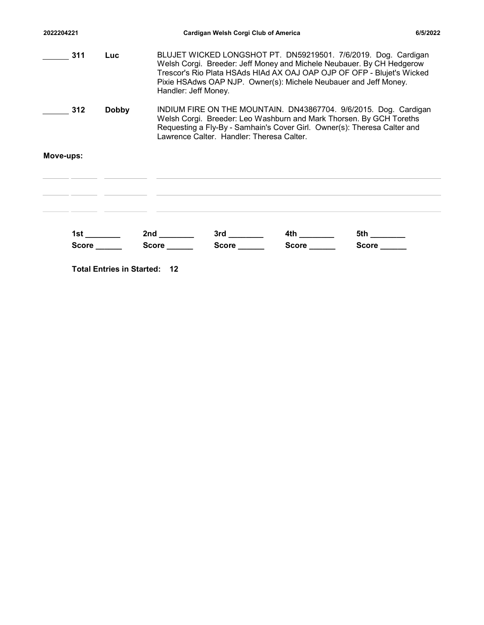| 2022204221<br>Cardigan Welsh Corgi Club of America<br>BLUJET WICKED LONGSHOT PT. DN59219501. 7/6/2019. Dog. Cardigan<br>311<br>Luc<br>Welsh Corgi. Breeder: Jeff Money and Michele Neubauer. By CH Hedgerow<br>Trescor's Rio Plata HSAds HIAd AX OAJ OAP OJP OF OFP - Blujet's Wicked<br>Pixie HSAdws OAP NJP. Owner(s): Michele Neubauer and Jeff Money.<br>Handler: Jeff Money.<br>INDIUM FIRE ON THE MOUNTAIN. DN43867704. 9/6/2015. Dog. Cardigan<br>312<br><b>Dobby</b><br>Welsh Corgi. Breeder: Leo Washburn and Mark Thorsen. By GCH Toreths<br>Requesting a Fly-By - Samhain's Cover Girl. Owner(s): Theresa Calter and<br>Lawrence Calter. Handler: Theresa Calter.<br>Move-ups: |  |  |  |          |
|-------------------------------------------------------------------------------------------------------------------------------------------------------------------------------------------------------------------------------------------------------------------------------------------------------------------------------------------------------------------------------------------------------------------------------------------------------------------------------------------------------------------------------------------------------------------------------------------------------------------------------------------------------------------------------------------|--|--|--|----------|
|                                                                                                                                                                                                                                                                                                                                                                                                                                                                                                                                                                                                                                                                                           |  |  |  | 6/5/2022 |
|                                                                                                                                                                                                                                                                                                                                                                                                                                                                                                                                                                                                                                                                                           |  |  |  |          |
|                                                                                                                                                                                                                                                                                                                                                                                                                                                                                                                                                                                                                                                                                           |  |  |  |          |
|                                                                                                                                                                                                                                                                                                                                                                                                                                                                                                                                                                                                                                                                                           |  |  |  |          |
|                                                                                                                                                                                                                                                                                                                                                                                                                                                                                                                                                                                                                                                                                           |  |  |  |          |
|                                                                                                                                                                                                                                                                                                                                                                                                                                                                                                                                                                                                                                                                                           |  |  |  |          |
|                                                                                                                                                                                                                                                                                                                                                                                                                                                                                                                                                                                                                                                                                           |  |  |  |          |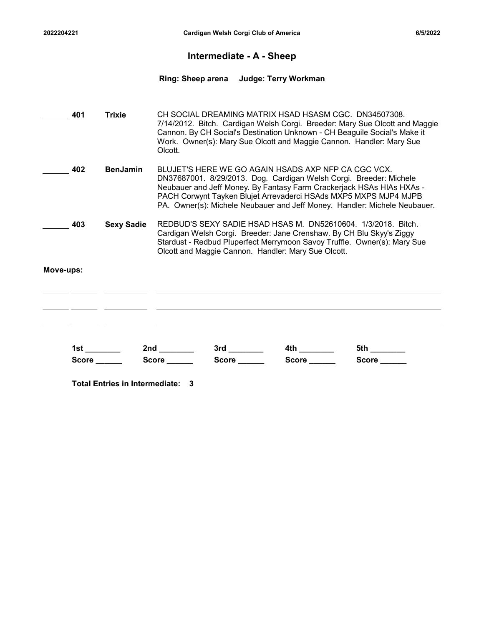### Intermediate - A - Sheep

# Cardigan Welsh Corgi Club of America 6/5/2022<br>
Cardigan Welsh Corgi Club of America<br>
Intermediate - A - Sheep<br>
Ring: Sheep arena Judge: Terry Workman Ring: Sheep arena Judge: Terry Workman

| 401                    | <b>Trixie</b>                    | Olcott.                           |              | CH SOCIAL DREAMING MATRIX HSAD HSASM CGC. DN34507308.                                                                                                                                        | 7/14/2012. Bitch. Cardigan Welsh Corgi. Breeder: Mary Sue Olcott and Maggie<br>Cannon. By CH Social's Destination Unknown - CH Beaguile Social's Make it<br>Work. Owner(s): Mary Sue Olcott and Maggie Cannon. Handler: Mary Sue |  |
|------------------------|----------------------------------|-----------------------------------|--------------|----------------------------------------------------------------------------------------------------------------------------------------------------------------------------------------------|----------------------------------------------------------------------------------------------------------------------------------------------------------------------------------------------------------------------------------|--|
| 402                    | <b>BenJamin</b>                  |                                   |              | BLUJET'S HERE WE GO AGAIN HSADS AXP NFP CA CGC VCX.<br>DN37687001. 8/29/2013. Dog. Cardigan Welsh Corgi. Breeder: Michele                                                                    | Neubauer and Jeff Money. By Fantasy Farm Crackerjack HSAs HIAs HXAs -<br>PACH Corwynt Tayken Blujet Arrevaderci HSAds MXP5 MXPS MJP4 MJPB<br>PA. Owner(s): Michele Neubauer and Jeff Money. Handler: Michele Neubauer.           |  |
| 403                    | <b>Sexy Sadie</b>                |                                   |              | REDBUD'S SEXY SADIE HSAD HSAS M. DN52610604. 1/3/2018. Bitch.<br>Cardigan Welsh Corgi. Breeder: Jane Crenshaw. By CH Blu Skyy's Ziggy<br>Olcott and Maggie Cannon. Handler: Mary Sue Olcott. | Stardust - Redbud Pluperfect Merrymoon Savoy Truffle. Owner(s): Mary Sue                                                                                                                                                         |  |
| Move-ups:              |                                  |                                   |              |                                                                                                                                                                                              |                                                                                                                                                                                                                                  |  |
| 1st _________<br>Score |                                  | Score <u>sales and the second</u> | Score ______ | <b>Score Score</b>                                                                                                                                                                           | <b>Score Score</b>                                                                                                                                                                                                               |  |
|                        | Total Entries in Intermediate: 3 |                                   |              |                                                                                                                                                                                              |                                                                                                                                                                                                                                  |  |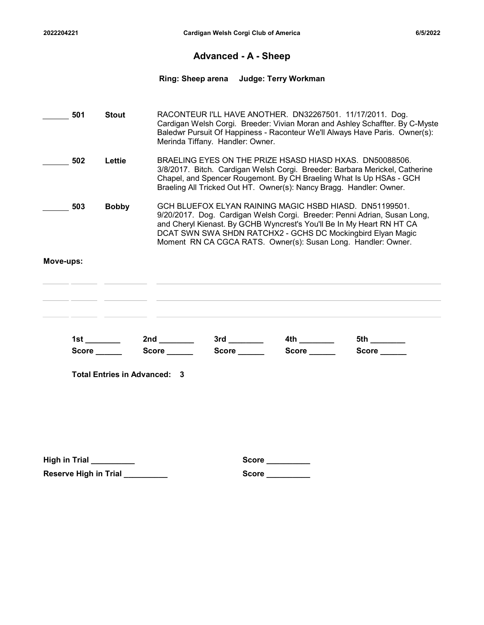### Advanced - A - Sheep

# 2022204221 Cardigan Welsh Corgi Club of America<br>
Advanced - A - Sheep<br>
Ring: Sheep arena Judge: Terry Workman Ring: Sheep arena Judge: Terry Workman

|           | 501           | <b>Stout</b>                    |                                     | Merinda Tiffany. Handler: Owner.                 |                | RACONTEUR I'LL HAVE ANOTHER. DN32267501. 11/17/2011. Dog.<br>Cardigan Welsh Corgi. Breeder: Vivian Moran and Ashley Schaffter. By C-Myste<br>Baledwr Pursuit Of Happiness - Raconteur We'll Always Have Paris. Owner(s):                                                                                                                     |  |
|-----------|---------------|---------------------------------|-------------------------------------|--------------------------------------------------|----------------|----------------------------------------------------------------------------------------------------------------------------------------------------------------------------------------------------------------------------------------------------------------------------------------------------------------------------------------------|--|
|           | 502           | Lettie                          |                                     |                                                  |                | BRAELING EYES ON THE PRIZE HSASD HIASD HXAS. DN50088506.<br>3/8/2017. Bitch. Cardigan Welsh Corgi. Breeder: Barbara Merickel, Catherine<br>Chapel, and Spencer Rougemont. By CH Braeling What Is Up HSAs - GCH<br>Braeling All Tricked Out HT. Owner(s): Nancy Bragg. Handler: Owner.                                                        |  |
|           | 503           | <b>Bobby</b>                    |                                     |                                                  |                | GCH BLUEFOX ELYAN RAINING MAGIC HSBD HIASD. DN51199501.<br>9/20/2017. Dog. Cardigan Welsh Corgi. Breeder: Penni Adrian, Susan Long,<br>and Cheryl Kienast. By GCHB Wyncrest's You'll Be In My Heart RN HT CA<br>DCAT SWN SWA SHDN RATCHX2 - GCHS DC Mockingbird Elyan Magic<br>Moment RN CA CGCA RATS. Owner(s): Susan Long. Handler: Owner. |  |
| Move-ups: |               |                                 |                                     |                                                  |                |                                                                                                                                                                                                                                                                                                                                              |  |
|           | Score ______  |                                 | $Score$ <sub>_______</sub>          | $3rd \ \underline{\hspace{2cm}}$<br>Score ______ | Score ______   | 5th ________<br>Score                                                                                                                                                                                                                                                                                                                        |  |
|           |               |                                 | <b>Total Entries in Advanced: 3</b> |                                                  |                |                                                                                                                                                                                                                                                                                                                                              |  |
|           |               |                                 |                                     |                                                  |                |                                                                                                                                                                                                                                                                                                                                              |  |
|           |               |                                 |                                     |                                                  |                |                                                                                                                                                                                                                                                                                                                                              |  |
|           | High in Trial |                                 |                                     | <b>Score</b>                                     |                |                                                                                                                                                                                                                                                                                                                                              |  |
|           |               | Reserve High in Trial _________ |                                     |                                                  | Score ________ |                                                                                                                                                                                                                                                                                                                                              |  |

| 9691 G |  |  |  |
|--------|--|--|--|
|        |  |  |  |
|        |  |  |  |
| Score  |  |  |  |
|        |  |  |  |
|        |  |  |  |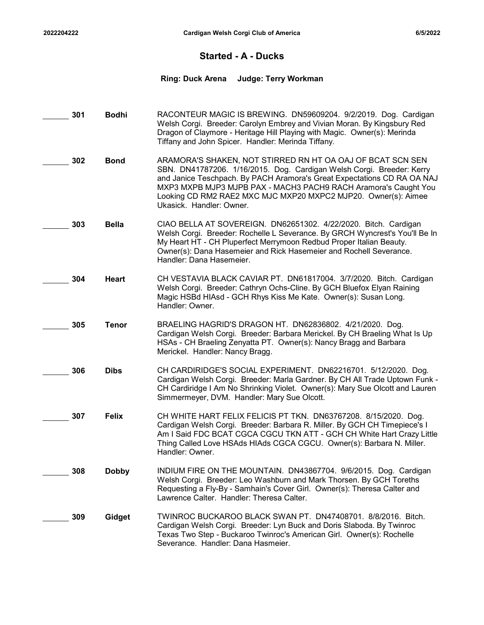### Started - A - Ducks

# 2022204222 Cardigan Welsh Corgi Club of America<br>Started - A - Ducks<br>Ring: Duck Arena Judge: Terry Workman Ring: Duck Arena Judge: Terry Workman

| 301 | <b>Bodhi</b> | RACONTEUR MAGIC IS BREWING. DN59609204. 9/2/2019. Dog. Cardigan<br>Welsh Corgi. Breeder: Carolyn Embrey and Vivian Moran. By Kingsbury Red<br>Dragon of Claymore - Heritage Hill Playing with Magic. Owner(s): Merinda<br>Tiffany and John Spicer. Handler: Merinda Tiffany.                                                                                                    |
|-----|--------------|---------------------------------------------------------------------------------------------------------------------------------------------------------------------------------------------------------------------------------------------------------------------------------------------------------------------------------------------------------------------------------|
| 302 | <b>Bond</b>  | ARAMORA'S SHAKEN, NOT STIRRED RN HT OA OAJ OF BCAT SCN SEN<br>SBN. DN41787206. 1/16/2015. Dog. Cardigan Welsh Corgi. Breeder: Kerry<br>and Janice Teschpach. By PACH Aramora's Great Expectations CD RA OA NAJ<br>MXP3 MXPB MJP3 MJPB PAX - MACH3 PACH9 RACH Aramora's Caught You<br>Looking CD RM2 RAE2 MXC MJC MXP20 MXPC2 MJP20. Owner(s): Aimee<br>Ukasick. Handler: Owner. |
| 303 | <b>Bella</b> | CIAO BELLA AT SOVEREIGN. DN62651302. 4/22/2020. Bitch. Cardigan<br>Welsh Corgi. Breeder: Rochelle L Severance. By GRCH Wyncrest's You'll Be In<br>My Heart HT - CH Pluperfect Merrymoon Redbud Proper Italian Beauty.<br>Owner(s): Dana Hasemeier and Rick Hasemeier and Rochell Severance.<br>Handler: Dana Hasemeier.                                                         |
| 304 | <b>Heart</b> | CH VESTAVIA BLACK CAVIAR PT. DN61817004. 3/7/2020. Bitch. Cardigan<br>Welsh Corgi. Breeder: Cathryn Ochs-Cline. By GCH Bluefox Elyan Raining<br>Magic HSBd HIAsd - GCH Rhys Kiss Me Kate. Owner(s): Susan Long.<br>Handler: Owner.                                                                                                                                              |
| 305 | <b>Tenor</b> | BRAELING HAGRID'S DRAGON HT. DN62836802. 4/21/2020. Dog.<br>Cardigan Welsh Corgi. Breeder: Barbara Merickel. By CH Braeling What Is Up<br>HSAs - CH Braeling Zenyatta PT. Owner(s): Nancy Bragg and Barbara<br>Merickel. Handler: Nancy Bragg.                                                                                                                                  |
| 306 | <b>Dibs</b>  | CH CARDIRIDGE'S SOCIAL EXPERIMENT. DN62216701. 5/12/2020. Dog.<br>Cardigan Welsh Corgi. Breeder: Marla Gardner. By CH All Trade Uptown Funk -<br>CH Cardiridge I Am No Shrinking Violet. Owner(s): Mary Sue Olcott and Lauren<br>Simmermeyer, DVM. Handler: Mary Sue Olcott.                                                                                                    |
| 307 | <b>Felix</b> | CH WHITE HART FELIX FELICIS PT TKN. DN63767208. 8/15/2020. Dog.<br>Cardigan Welsh Corgi. Breeder: Barbara R. Miller. By GCH CH Timepiece's I<br>Am I Said FDC BCAT CGCA CGCU TKN ATT - GCH CH White Hart Crazy Little<br>Thing Called Love HSAds HIAds CGCA CGCU. Owner(s): Barbara N. Miller.<br>Handler: Owner.                                                               |
| 308 | <b>Dobby</b> | INDIUM FIRE ON THE MOUNTAIN. DN43867704. 9/6/2015. Dog. Cardigan<br>Welsh Corgi. Breeder: Leo Washburn and Mark Thorsen. By GCH Toreths<br>Requesting a Fly-By - Samhain's Cover Girl. Owner(s): Theresa Calter and<br>Lawrence Calter. Handler: Theresa Calter.                                                                                                                |
| 309 | Gidget       | TWINROC BUCKAROO BLACK SWAN PT. DN47408701. 8/8/2016. Bitch.<br>Cardigan Welsh Corgi. Breeder: Lyn Buck and Doris Slaboda. By Twinroc<br>Texas Two Step - Buckaroo Twinroc's American Girl. Owner(s): Rochelle<br>Severance. Handler: Dana Hasmeier.                                                                                                                            |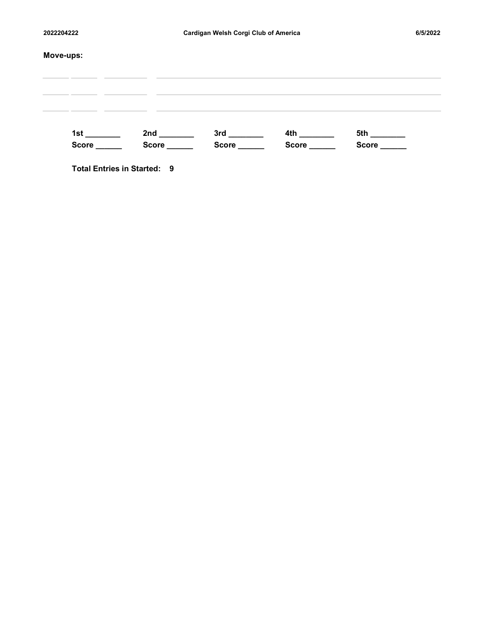|              |  |                                      | 6/5/2022 |
|--------------|--|--------------------------------------|----------|
|              |  |                                      |          |
|              |  |                                      |          |
|              |  |                                      |          |
|              |  |                                      |          |
| 1st ________ |  |                                      |          |
|              |  | Cardigan Welsh Corgi Club of America |          |

Total Entries in Started: 9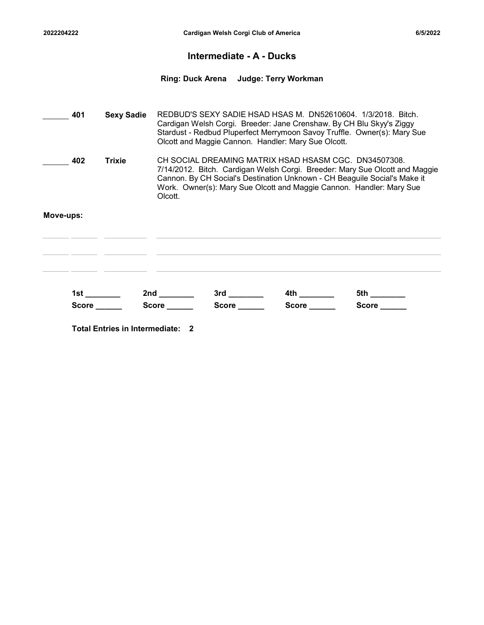### Intermediate - A - Ducks

# 2022204222 Cardigan Welsh Corgi Club of America<br>Intermediate - A - Ducks<br>Ring: Duck Arena Judge: Terry Workman Ring: Duck Arena Judge: Terry Workman

**401 Sexy Sadie** REDBUD'S SEXY SADIE HSAD HSAS M. DN52610604. 1/3/2018. Bitch. Cardigan Welsh Corgi. Breeder: Jane Crenshaw. By CH Blu Skyy's Ziggy Stardust - Redbud Pluperfect Merrymoon Savoy Truffle. Owner(s): Mary Sue Olcott and Maggie Cannon. Handler: Mary Sue Olcott.

CH SOCIAL DREAMING MATRIX HSAD HSASM CGC. DN34507308. 402 Trixie 7/14/2012. Bitch. Cardigan Welsh Corgi. Breeder: Mary Sue Olcott and Maggie Cannon. By CH Social's Destination Unknown - CH Beaguile Social's Make it Work. Owner(s): Mary Sue Olcott and Maggie Cannon. Handler: Mary Sue Olcott.

### Move-ups:

| 1s           | 2nd   | י יי<br>vi v | 4th               | $ -$<br>◡… |
|--------------|-------|--------------|-------------------|------------|
| <b>Score</b> | Score | Score        | .500 <sup>o</sup> | Score      |

Total Entries in Intermediate: 2